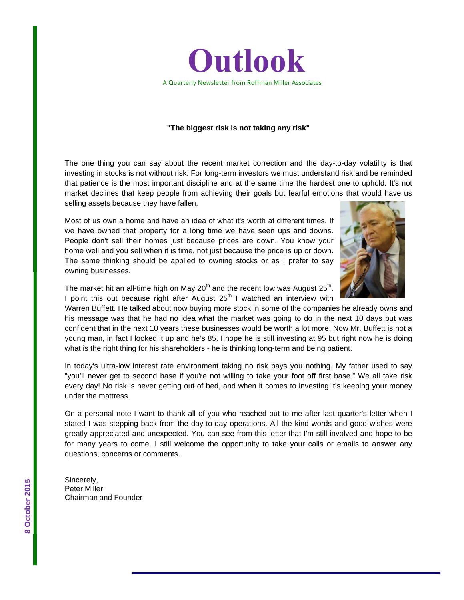

## **"The biggest risk is not taking any risk"**

The one thing you can say about the recent market correction and the day-to-day volatility is that investing in stocks is not without risk. For long-term investors we must understand risk and be reminded that patience is the most important discipline and at the same time the hardest one to uphold. It's not market declines that keep people from achieving their goals but fearful emotions that would have us selling assets because they have fallen.

Most of us own a home and have an idea of what it's worth at different times. If we have owned that property for a long time we have seen ups and downs. People don't sell their homes just because prices are down. You know your home well and you sell when it is time, not just because the price is up or down. The same thinking should be applied to owning stocks or as I prefer to say owning businesses.



The market hit an all-time high on May  $20<sup>th</sup>$  and the recent low was August  $25<sup>th</sup>$ . I point this out because right after August  $25<sup>th</sup>$  I watched an interview with

Warren Buffett. He talked about now buying more stock in some of the companies he already owns and his message was that he had no idea what the market was going to do in the next 10 days but was confident that in the next 10 years these businesses would be worth a lot more. Now Mr. Buffett is not a young man, in fact I looked it up and he's 85. I hope he is still investing at 95 but right now he is doing what is the right thing for his shareholders - he is thinking long-term and being patient.

In today's ultra-low interest rate environment taking no risk pays you nothing. My father used to say "you'll never get to second base if you're not willing to take your foot off first base." We all take risk every day! No risk is never getting out of bed, and when it comes to investing it's keeping your money under the mattress.

On a personal note I want to thank all of you who reached out to me after last quarter's letter when I stated I was stepping back from the day-to-day operations. All the kind words and good wishes were greatly appreciated and unexpected. You can see from this letter that I'm still involved and hope to be for many years to come. I still welcome the opportunity to take your calls or emails to answer any questions, concerns or comments.

Sincerely, Peter Miller Chairman and Founder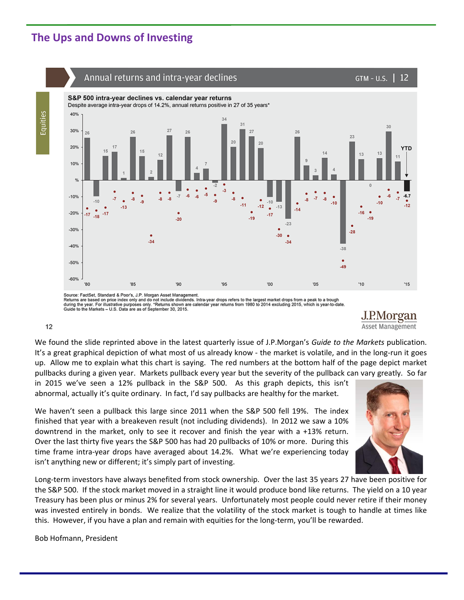## **The Ups and Downs of Investing**



Source: FactSet, Standard & Poor's, J.P. Morgan Asset Management.<br>Returns are based on price index only and do not include dividends. Intra-year drops refers to the largest market drops from a peak to a trough<br>during the y

J.P.Morgan Asset Management

## $12$

Equities

We found the slide reprinted above in the latest quarterly issue of J.P.Morgan's *Guide to the Markets* publication. It's a great graphical depiction of what most of us already know - the market is volatile, and in the long-run it goes up. Allow me to explain what this chart is saying. The red numbers at the bottom half of the page depict market pullbacks during a given year. Markets pullback every year but the severity of the pullback can vary greatly. So far

in 2015 we've seen a 12% pullback in the S&P 500. As this graph depicts, this isn't abnormal, actually it's quite ordinary. In fact, I'd say pullbacks are healthy for the market.

We haven't seen a pullback this large since 2011 when the S&P 500 fell 19%. The index finished that year with a breakeven result (not including dividends). In 2012 we saw a 10% downtrend in the market, only to see it recover and finish the year with a +13% return. Over the last thirty five years the S&P 500 has had 20 pullbacks of 10% or more. During this time frame intra‐year drops have averaged about 14.2%. What we're experiencing today isn't anything new or different; it's simply part of investing.



Long-term investors have always benefited from stock ownership. Over the last 35 years 27 have been positive for the S&P 500. If the stock market moved in a straight line it would produce bond like returns. The yield on a 10 year Treasury has been plus or minus 2% for several years. Unfortunately most people could never retire if their money was invested entirely in bonds. We realize that the volatility of the stock market is tough to handle at times like this. However, if you have a plan and remain with equities for the long-term, you'll be rewarded.

Bob Hofmann, President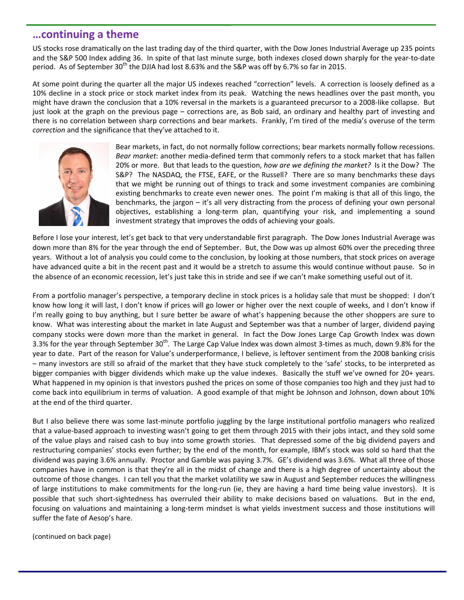## **…continuing a theme**

US stocks rose dramatically on the last trading day of the third quarter, with the Dow Jones Industrial Average up 235 points and the S&P 500 Index adding 36. In spite of that last minute surge, both indexes closed down sharply for the year‐to‐date period. As of September 30<sup>th</sup> the DJIA had lost 8.63% and the S&P was off by 6.7% so far in 2015.

At some point during the quarter all the major US indexes reached "correction" levels. A correction is loosely defined as a 10% decline in a stock price or stock market index from its peak. Watching the news headlines over the past month, you might have drawn the conclusion that a 10% reversal in the markets is a guaranteed precursor to a 2008‐like collapse. But just look at the graph on the previous page – corrections are, as Bob said, an ordinary and healthy part of investing and there is no correlation between sharp corrections and bear markets. Frankly, I'm tired of the media's overuse of the term *correction* and the significance that they've attached to it.



Bear markets, in fact, do not normally follow corrections; bear markets normally follow recessions. *Bear market*: another media‐defined term that commonly refers to a stock market that has fallen 20% or more. But that leads to the question, *how are we defining the market?* Is it the Dow? The S&P? The NASDAQ, the FTSE, EAFE, or the Russell? There are so many benchmarks these days that we might be running out of things to track and some investment companies are combining existing benchmarks to create even newer ones. The point I'm making is that all of this lingo, the benchmarks, the jargon – it's all very distracting from the process of defining your own personal objectives, establishing a long‐term plan, quantifying your risk, and implementing a sound investment strategy that improves the odds of achieving your goals.

Before I lose your interest, let's get back to that very understandable first paragraph. The Dow Jones Industrial Average was down more than 8% for the year through the end of September. But, the Dow was up almost 60% over the preceding three years. Without a lot of analysis you could come to the conclusion, by looking at those numbers, that stock prices on average have advanced quite a bit in the recent past and it would be a stretch to assume this would continue without pause. So in the absence of an economic recession, let's just take this in stride and see if we can't make something useful out of it.

From a portfolio manager's perspective, a temporary decline in stock prices is a holiday sale that must be shopped: I don't know how long it will last, I don't know if prices will go lower or higher over the next couple of weeks, and I don't know if I'm really going to buy anything, but I sure better be aware of what's happening because the other shoppers are sure to know. What was interesting about the market in late August and September was that a number of larger, dividend paying company stocks were down more than the market in general. In fact the Dow Jones Large Cap Growth Index was down 3.3% for the year through September 30<sup>th</sup>. The Large Cap Value Index was down almost 3-times as much, down 9.8% for the year to date. Part of the reason for Value's underperformance, I believe, is leftover sentiment from the 2008 banking crisis – many investors are still so afraid of the market that they have stuck completely to the 'safe' stocks, to be interpreted as bigger companies with bigger dividends which make up the value indexes. Basically the stuff we've owned for 20+ years. What happened in my opinion is that investors pushed the prices on some of those companies too high and they just had to come back into equilibrium in terms of valuation. A good example of that might be Johnson and Johnson, down about 10% at the end of the third quarter.

But I also believe there was some last-minute portfolio juggling by the large institutional portfolio managers who realized that a value‐based approach to investing wasn't going to get them through 2015 with their jobs intact, and they sold some of the value plays and raised cash to buy into some growth stories. That depressed some of the big dividend payers and restructuring companies' stocks even further; by the end of the month, for example, IBM's stock was sold so hard that the dividend was paying 3.6% annually. Proctor and Gamble was paying 3.7%. GE's dividend was 3.6%. What all three of those companies have in common is that they're all in the midst of change and there is a high degree of uncertainty about the outcome of those changes. I can tell you that the market volatility we saw in August and September reduces the willingness of large institutions to make commitments for the long-run (ie, they are having a hard time being value investors). It is possible that such short-sightedness has overruled their ability to make decisions based on valuations. But in the end, focusing on valuations and maintaining a long‐term mindset is what yields investment success and those institutions will suffer the fate of Aesop's hare.

(continued on back page)